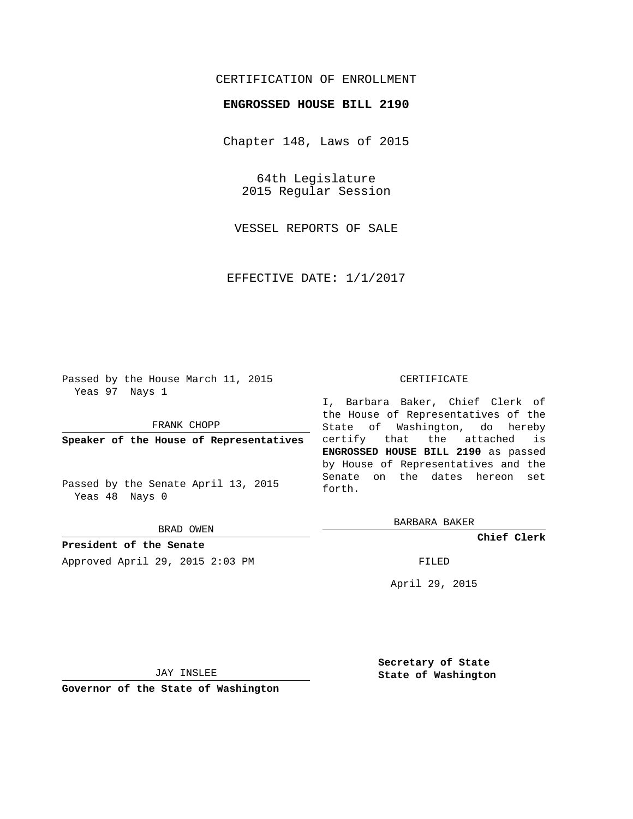## CERTIFICATION OF ENROLLMENT

## **ENGROSSED HOUSE BILL 2190**

Chapter 148, Laws of 2015

64th Legislature 2015 Regular Session

VESSEL REPORTS OF SALE

EFFECTIVE DATE: 1/1/2017

Passed by the House March 11, 2015 Yeas 97 Nays 1

FRANK CHOPP

**Speaker of the House of Representatives**

Passed by the Senate April 13, 2015 Yeas 48 Nays 0

BRAD OWEN

**President of the Senate** Approved April 29, 2015 2:03 PM FILED

## CERTIFICATE

I, Barbara Baker, Chief Clerk of the House of Representatives of the State of Washington, do hereby certify that the attached is **ENGROSSED HOUSE BILL 2190** as passed by House of Representatives and the Senate on the dates hereon set forth.

BARBARA BAKER

**Chief Clerk**

April 29, 2015

JAY INSLEE

**Governor of the State of Washington**

**Secretary of State State of Washington**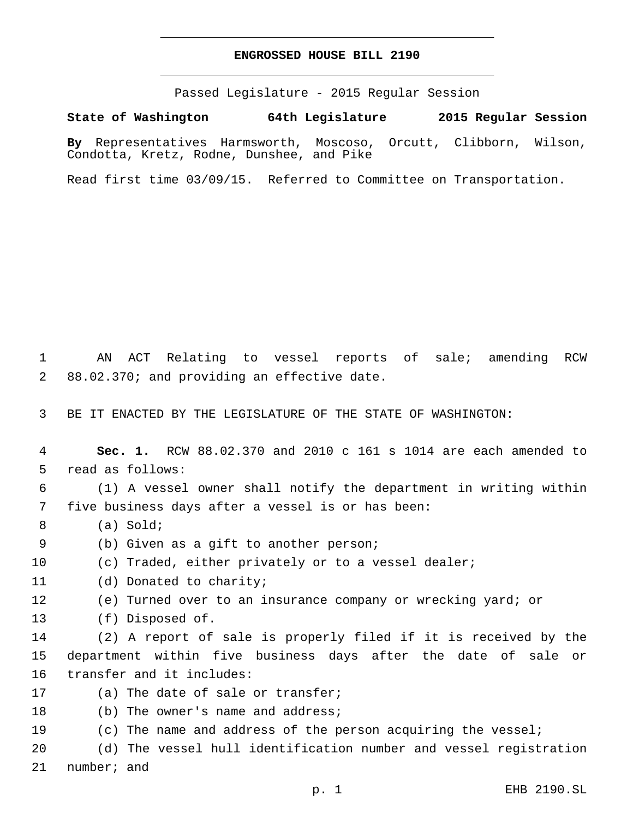## **ENGROSSED HOUSE BILL 2190**

Passed Legislature - 2015 Regular Session

**State of Washington 64th Legislature 2015 Regular Session**

**By** Representatives Harmsworth, Moscoso, Orcutt, Clibborn, Wilson, Condotta, Kretz, Rodne, Dunshee, and Pike

Read first time 03/09/15. Referred to Committee on Transportation.

1 AN ACT Relating to vessel reports of sale; amending RCW 2 88.02.370; and providing an effective date.

3 BE IT ENACTED BY THE LEGISLATURE OF THE STATE OF WASHINGTON:

4 **Sec. 1.** RCW 88.02.370 and 2010 c 161 s 1014 are each amended to 5 read as follows:

6 (1) A vessel owner shall notify the department in writing within five business days after a vessel is or has been:7

- (a) Sold;8
- 9 (b) Given as a gift to another person;
- 10 (c) Traded, either privately or to a vessel dealer;
- 11 (d) Donated to charity;
- 12 (e) Turned over to an insurance company or wrecking yard; or
- 13 (f) Disposed of.

14 (2) A report of sale is properly filed if it is received by the 15 department within five business days after the date of sale or 16 transfer and it includes:

- 17 (a) The date of sale or transfer;
- 18 (b) The owner's name and address;
- 19 (c) The name and address of the person acquiring the vessel;

20 (d) The vessel hull identification number and vessel registration 21 number; and